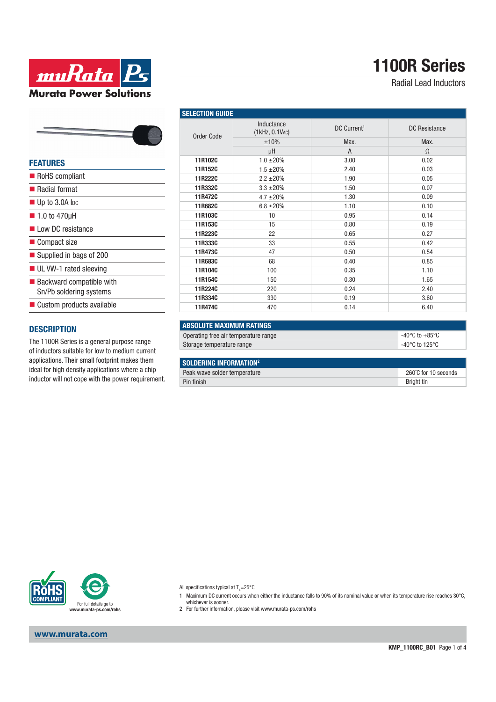

Radial Lead Inductors

| <b>Murata Power Solutions</b> |  |  |  |  |
|-------------------------------|--|--|--|--|
|                               |  |  |  |  |
|                               |  |  |  |  |

muRata **Ps** 

#### **FEATURES**

| RoHS compliant                                                     |
|--------------------------------------------------------------------|
| ■ Radial format                                                    |
| $\blacksquare$ Up to 3.0A lpc                                      |
| $\blacksquare$ 1.0 to 470µH                                        |
| Low DC resistance                                                  |
| ■ Compact size                                                     |
| ■ Supplied in bags of 200                                          |
| UL VW-1 rated sleeving                                             |
| $\blacksquare$ Backward compatible with<br>Sn/Pb soldering systems |
| ■ Custom products available                                        |
|                                                                    |

### **DESCRIPTION**

The 1100R Series is a general purpose range of inductors suitable for low to medium current applications. Their small footprint makes them ideal for high density applications where a chip inductor will not cope with the power requirement.

| <b>SELECTION GUIDE</b> |                              |                         |                      |  |
|------------------------|------------------------------|-------------------------|----------------------|--|
| Order Code             | Inductance<br>(1kHz, 0.1VAC) | DC Current <sup>1</sup> | <b>DC</b> Resistance |  |
|                        | ±10%                         | Max.                    | Max.                 |  |
|                        | μH                           | $\overline{A}$          | $\Omega$             |  |
| 11R102C                | $1.0 \pm 20\%$               | 3.00                    | 0.02                 |  |
| 11R152C                | $1.5 \pm 20\%$               | 2.40                    | 0.03                 |  |
| 11R222C                | $2.2 \pm 20\%$               | 1.90                    | 0.05                 |  |
| 11R332C                | $3.3 + 20%$                  | 1.50                    | 0.07                 |  |
| 11R472C                | $4.7 \pm 20\%$               | 1.30                    | 0.09                 |  |
| 11R682C                | $6.8 \pm 20\%$               | 1.10                    | 0.10                 |  |
| 11R103C                | 10                           | 0.95                    | 0.14                 |  |
| 11R153C                | 15                           | 0.80                    | 0.19                 |  |
| 11R223C                | 22                           | 0.65                    | 0.27                 |  |
| 11R333C                | 33                           | 0.55                    | 0.42                 |  |
| 11R473C                | 47                           | 0.50                    | 0.54                 |  |
| 11R683C                | 68                           | 0.40                    | 0.85                 |  |
| 11R104C                | 100                          | 0.35                    | 1.10                 |  |
| 11R154C                | 150                          | 0.30                    | 1.65                 |  |
| 11R224C                | 220                          | 0.24                    | 2.40                 |  |
| 11R334C                | 330                          | 0.19                    | 3.60                 |  |
| 11R474C                | 470                          | 0.14                    | 6.40                 |  |

| ABSOLUTE MAXIMUM RATINGS             |                                      |
|--------------------------------------|--------------------------------------|
| Operating free air temperature range | $^{\circ}$ -40°C to +85°C $^{\circ}$ |
| Storage temperature range            | $^{\circ}$ -40°C to 125°C            |
|                                      |                                      |

| SOLDERING INFORMATION <sup>2</sup> |                      |  |
|------------------------------------|----------------------|--|
| Peak wave solder temperature       | 260°C for 10 seconds |  |
| Pin finish                         | Briaht tin           |  |



All specifications typical at T<sub>A</sub>=25°C

- 1 Maximum DC current occurs when either the inductance falls to 90% of its nominal value or when its temperature rise reaches 30°C,
	-
- whichever is sooner. 2 For further information, please visit www.murata-ps.com/rohs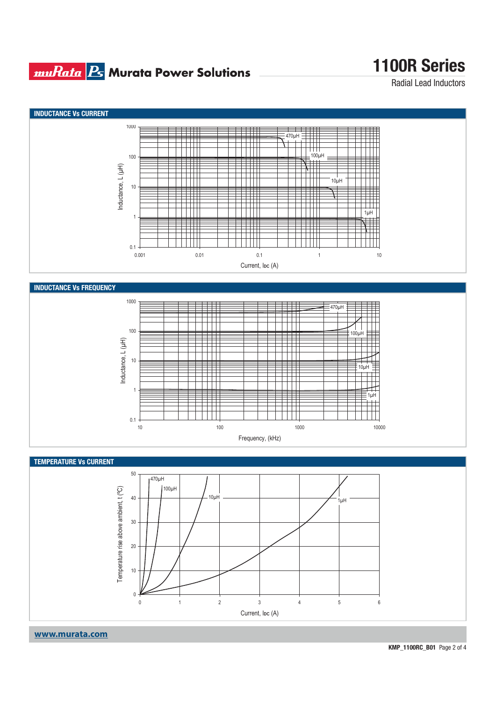## **muRata B** Murata Power Solutions

## **1100R Series**

Radial Lead Inductors

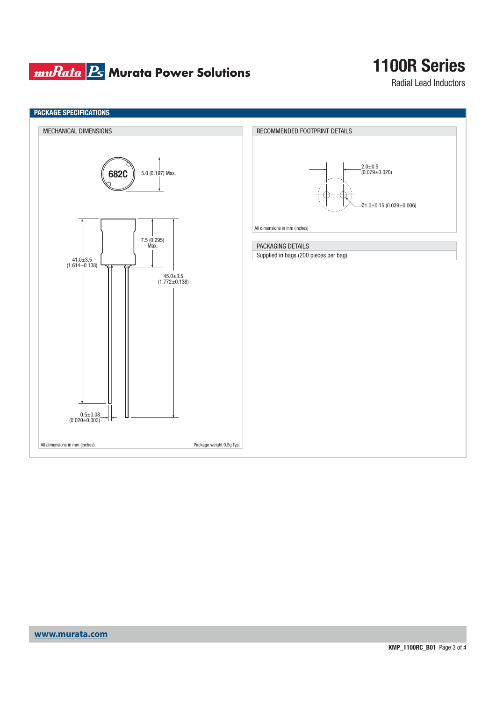## **muRata Ps** Murata Power Solutions

# **1100R Series**

Radial Lead Inductors